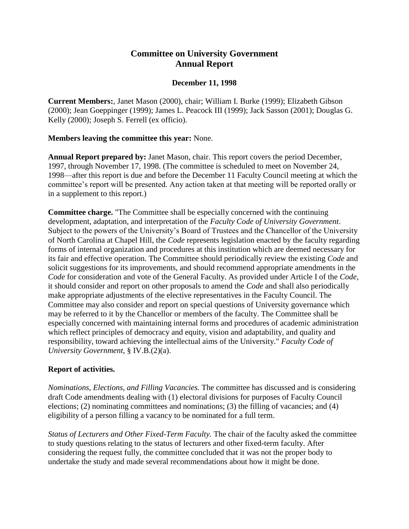## **Committee on University Government Annual Report**

## **December 11, 1998**

**Current Members:**, Janet Mason (2000), chair; William I. Burke (1999); Elizabeth Gibson (2000); Jean Goeppinger (1999); James L. Peacock III (1999); Jack Sasson (2001); Douglas G. Kelly (2000); Joseph S. Ferrell (ex officio).

## **Members leaving the committee this year:** None.

**Annual Report prepared by:** Janet Mason, chair. This report covers the period December, 1997, through November 17, 1998. (The committee is scheduled to meet on November 24, 1998—after this report is due and before the December 11 Faculty Council meeting at which the committee's report will be presented. Any action taken at that meeting will be reported orally or in a supplement to this report.)

**Committee charge.** "The Committee shall be especially concerned with the continuing development, adaptation, and interpretation of the *Faculty Code of University Government*. Subject to the powers of the University's Board of Trustees and the Chancellor of the University of North Carolina at Chapel Hill, the *Code* represents legislation enacted by the faculty regarding forms of internal organization and procedures at this institution which are deemed necessary for its fair and effective operation. The Committee should periodically review the existing *Code* and solicit suggestions for its improvements, and should recommend appropriate amendments in the *Code* for consideration and vote of the General Faculty. As provided under Article I of the *Code*, it should consider and report on other proposals to amend the *Code* and shall also periodically make appropriate adjustments of the elective representatives in the Faculty Council. The Committee may also consider and report on special questions of University governance which may be referred to it by the Chancellor or members of the faculty. The Committee shall be especially concerned with maintaining internal forms and procedures of academic administration which reflect principles of democracy and equity, vision and adaptability, and quality and responsibility, toward achieving the intellectual aims of the University." *Faculty Code of University Government*, § IV.B.(2)(a).

## **Report of activities.**

*Nominations, Elections, and Filling Vacancies.* The committee has discussed and is considering draft Code amendments dealing with (1) electoral divisions for purposes of Faculty Council elections; (2) nominating committees and nominations; (3) the filling of vacancies; and (4) eligibility of a person filling a vacancy to be nominated for a full term.

*Status of Lecturers and Other Fixed-Term Faculty.* The chair of the faculty asked the committee to study questions relating to the status of lecturers and other fixed-term faculty. After considering the request fully, the committee concluded that it was not the proper body to undertake the study and made several recommendations about how it might be done.